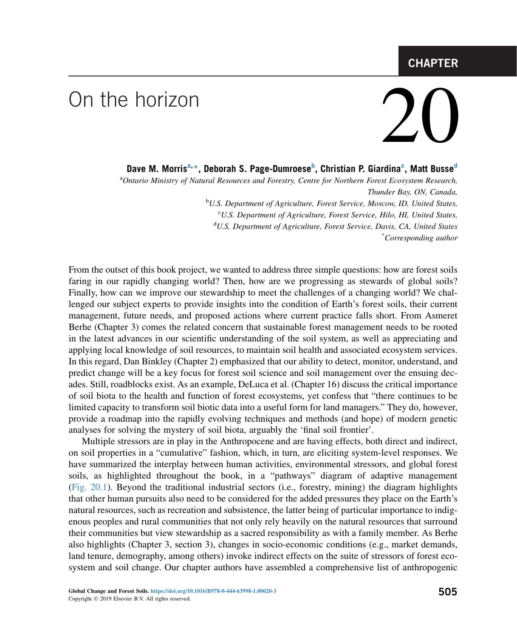### **CHAPTER**

# On the horizon  $20$

**Dave M. Morrisa, \*, Deborah S. Page-Dumroese<sup>b</sup> , Christian P. Giardina<sup>c</sup> , Matt Busse<sup>d</sup>**

<sup>a</sup>Ontario Ministry of Natural Resources and Forestry, Centre for Northern Forest Ecosystem Research, Thunder Bay, ON, Canada, <sup>b</sup>U.S. Department of Agriculture, Forest Service, Moscow, ID, United States, <sup>c</sup>U.S. Department of Agriculture, Forest Service, Hilo, HI, United States, <sup>d</sup>U.S. Department of Agriculture, Forest Service, Davis, CA, United States \* Corresponding author

From the outset of this book project, we wanted to address three simple questions: how are forest soils faring in our rapidly changing world? Then, how are we progressing as stewards of global soils? Finally, how can we improve our stewardship to meet the challenges of a changing world? We challenged our subject experts to provide insights into the condition of Earth's forest soils, their current management, future needs, and proposed actions where current practice falls short. From Asmeret Berhe (Chapter 3) comes the related concern that sustainable forest management needs to be rooted in the latest advances in our scientifc understanding of the soil system, as well as appreciating and applying local knowledge of soil resources, to maintain soil health and associated ecosystem services. In this regard, Dan Binkley (Chapter 2) emphasized that our ability to detect, monitor, understand, and predict change will be a key focus for forest soil science and soil management over the ensuing decades. Still, roadblocks exist. As an example, DeLuca et al. (Chapter 16) discuss the critical importance of soil biota to the health and function of forest ecosystems, yet confess that "there continues to be limited capacity to transform soil biotic data into a useful form for land managers." They do, however, provide a roadmap into the rapidly evolving techniques and methods (and hope) of modern genetic analyses for solving the mystery of soil biota, arguably the 'fnal soil frontier'.

Multiple stressors are in play in the Anthropocene and are having effects, both direct and indirect, on soil properties in a "cumulative" fashion, which, in turn, are eliciting system-level responses. We have summarized the interplay between human activities, environmental stressors, and global forest soils, as highlighted throughout the book, in a "pathways" diagram of adaptive management [\(Fig. 20.1](#page-1-0)). Beyond the traditional industrial sectors (i.e., forestry, mining) the diagram highlights that other human pursuits also need to be considered for the added pressures they place on the Earth's natural resources, such as recreation and subsistence, the latter being of particular importance to indigenous peoples and rural communities that not only rely heavily on the natural resources that surround their communities but view stewardship as a sacred responsibility as with a family member. As Berhe also highlights (Chapter 3, section 3), changes in socio-economic conditions (e.g., market demands, land tenure, demography, among others) invoke indirect effects on the suite of stressors of forest ecosystem and soil change. Our chapter authors have assembled a comprehensive list of anthropogenic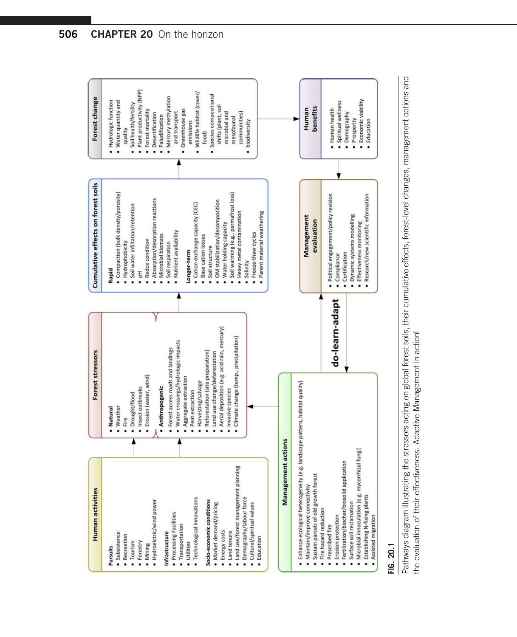<span id="page-1-0"></span>

## **FIG. 20.1**

Pathways diagram illustrating the stressors acting on global forest soils, their cumulative effects, forest-level changes, management options and Pathways diagram illustrating the stressors acting on global forest soils, their cumulative effects, forest-level changes, management options and the evaluation of their effectiveness. Adaptive Management in action! the evaluation of their effectiveness. Adaptive Management in action!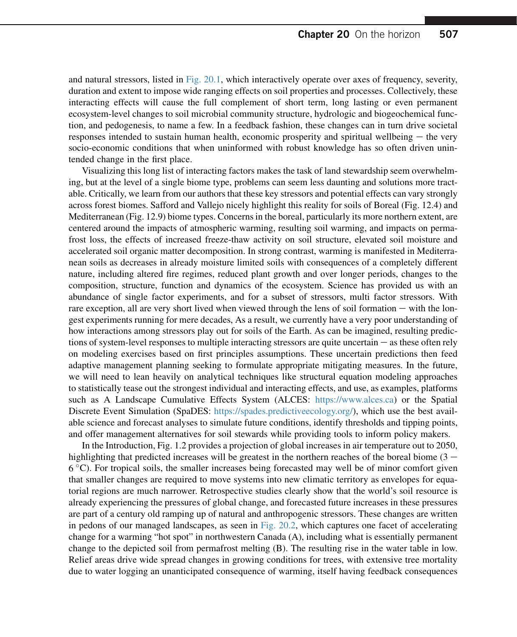and natural stressors, listed in [Fig. 20.1,](#page-1-0) which interactively operate over axes of frequency, severity, duration and extent to impose wide ranging effects on soil properties and processes. Collectively, these interacting effects will cause the full complement of short term, long lasting or even permanent ecosystem-level changes to soil microbial community structure, hydrologic and biogeochemical function, and pedogenesis, to name a few. In a feedback fashion, these changes can in turn drive societal responses intended to sustain human health, economic prosperity and spiritual wellbeing  $-$  the very socio-economic conditions that when uninformed with robust knowledge has so often driven unintended change in the frst place.

Visualizing this long list of interacting factors makes the task of land stewardship seem overwhelming, but at the level of a single biome type, problems can seem less daunting and solutions more tractable. Critically, we learn from our authors that these key stressors and potential effects can vary strongly across forest biomes. Safford and Vallejo nicely highlight this reality for soils of Boreal (Fig. 12.4) and Mediterranean (Fig. 12.9) biome types. Concerns in the boreal, particularly its more northern extent, are centered around the impacts of atmospheric warming, resulting soil warming, and impacts on permafrost loss, the effects of increased freeze-thaw activity on soil structure, elevated soil moisture and accelerated soil organic matter decomposition. In strong contrast, warming is manifested in Mediterranean soils as decreases in already moisture limited soils with consequences of a completely different nature, including altered fre regimes, reduced plant growth and over longer periods, changes to the composition, structure, function and dynamics of the ecosystem. Science has provided us with an abundance of single factor experiments, and for a subset of stressors, multi factor stressors. With rare exception, all are very short lived when viewed through the lens of soil formation  $-$  with the longest experiments running for mere decades, As a result, we currently have a very poor understanding of how interactions among stressors play out for soils of the Earth. As can be imagined, resulting predictions of system-level responses to multiple interacting stressors are quite uncertain  $-$  as these often rely on modeling exercises based on frst principles assumptions. These uncertain predictions then feed adaptive management planning seeking to formulate appropriate mitigating measures. In the future, we will need to lean heavily on analytical techniques like structural equation modeling approaches to statistically tease out the strongest individual and interacting effects, and use, as examples, platforms such as A Landscape Cumulative Effects System (ALCES: [https://www.alces.ca](https://www.alces.ca/)) or the Spatial Discrete Event Simulation (SpaDES: [https://spades.predictiveecology.org/\)](https://spades.predictiveecology.org/), which use the best available science and forecast analyses to simulate future conditions, identify thresholds and tipping points, and offer management alternatives for soil stewards while providing tools to inform policy makers.

In the Introduction, Fig. 1.2 provides a projection of global increases in air temperature out to 2050, highlighting that predicted increases will be greatest in the northern reaches of the boreal biome  $(3 6^{\circ}$ C). For tropical soils, the smaller increases being forecasted may well be of minor comfort given that smaller changes are required to move systems into new climatic territory as envelopes for equatorial regions are much narrower. Retrospective studies clearly show that the world's soil resource is already experiencing the pressures of global change, and forecasted future increases in these pressures are part of a century old ramping up of natural and anthropogenic stressors. These changes are written in pedons of our managed landscapes, as seen in [Fig. 20.2,](#page-3-0) which captures one facet of accelerating change for a warming "hot spot" in northwestern Canada (A), including what is essentially permanent change to the depicted soil from permafrost melting (B). The resulting rise in the water table in low. Relief areas drive wide spread changes in growing conditions for trees, with extensive tree mortality due to water logging an unanticipated consequence of warming, itself having feedback consequences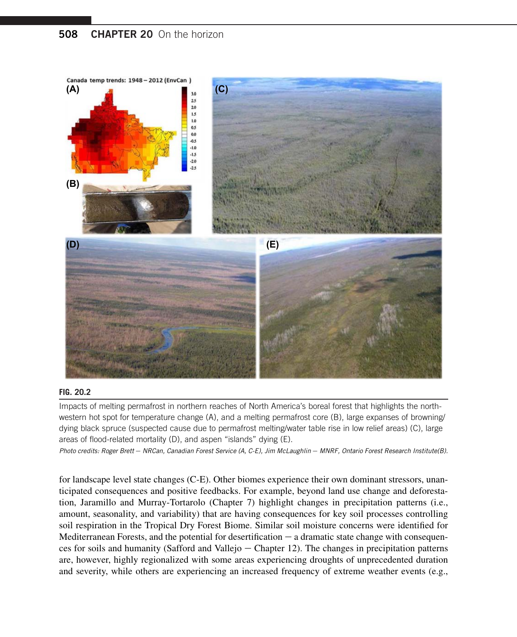### <span id="page-3-0"></span>**508 CHAPTER 20** On the horizon



### **FIG. 20.2**

Impacts of melting permafrost in northern reaches of North America's boreal forest that highlights the northwestern hot spot for temperature change (A), and a melting permafrost core (B), large expanses of browning/ dying black spruce (suspected cause due to permafrost melting/water table rise in low relief areas) (C), large areas of flood-related mortality (D), and aspen "islands" dying (E).

Photo credits: Roger Brett - NRCan, Canadian Forest Service (A, C-E), Jim McLaughlin - MNRF, Ontario Forest Research Institute(B).

for landscape level state changes (C-E). Other biomes experience their own dominant stressors, unanticipated consequences and positive feedbacks. For example, beyond land use change and deforestation, Jaramillo and Murray-Tortarolo (Chapter 7) highlight changes in precipitation patterns (i.e., amount, seasonality, and variability) that are having consequences for key soil processes controlling soil respiration in the Tropical Dry Forest Biome. Similar soil moisture concerns were identifed for Mediterranean Forests, and the potential for desertification  $-$  a dramatic state change with consequences for soils and humanity (Safford and Vallejo  $-$  Chapter 12). The changes in precipitation patterns are, however, highly regionalized with some areas experiencing droughts of unprecedented duration and severity, while others are experiencing an increased frequency of extreme weather events (e.g.,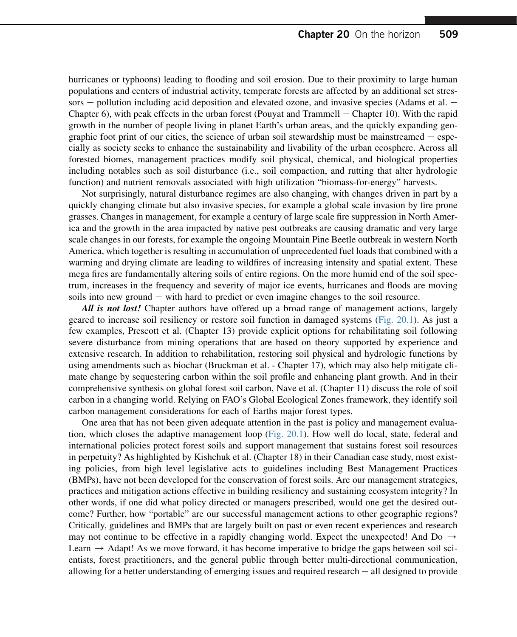hurricanes or typhoons) leading to fooding and soil erosion. Due to their proximity to large human populations and centers of industrial activity, temperate forests are affected by an additional set stressors  $-$  pollution including acid deposition and elevated ozone, and invasive species (Adams et al.  $-$ Chapter 6), with peak effects in the urban forest (Pouyat and Trammell  $-$  Chapter 10). With the rapid growth in the number of people living in planet Earth's urban areas, and the quickly expanding geographic foot print of our cities, the science of urban soil stewardship must be mainstreamed  $-$  especially as society seeks to enhance the sustainability and livability of the urban ecosphere. Across all forested biomes, management practices modify soil physical, chemical, and biological properties including notables such as soil disturbance (i.e., soil compaction, and rutting that alter hydrologic function) and nutrient removals associated with high utilization "biomass-for-energy" harvests.

Not surprisingly, natural disturbance regimes are also changing, with changes driven in part by a quickly changing climate but also invasive species, for example a global scale invasion by fre prone grasses. Changes in management, for example a century of large scale fre suppression in North America and the growth in the area impacted by native pest outbreaks are causing dramatic and very large scale changes in our forests, for example the ongoing Mountain Pine Beetle outbreak in western North America, which together is resulting in accumulation of unprecedented fuel loads that combined with a warming and drying climate are leading to wildfres of increasing intensity and spatial extent. These mega fres are fundamentally altering soils of entire regions. On the more humid end of the soil spectrum, increases in the frequency and severity of major ice events, hurricanes and foods are moving soils into new ground  $-$  with hard to predict or even imagine changes to the soil resource.

All is not lost! Chapter authors have offered up a broad range of management actions, largely geared to increase soil resiliency or restore soil function in damaged systems ([Fig. 20.1](#page-1-0)). As just a few examples, Prescott et al. (Chapter 13) provide explicit options for rehabilitating soil following severe disturbance from mining operations that are based on theory supported by experience and extensive research. In addition to rehabilitation, restoring soil physical and hydrologic functions by using amendments such as biochar (Bruckman et al. - Chapter 17), which may also help mitigate climate change by sequestering carbon within the soil profle and enhancing plant growth. And in their comprehensive synthesis on global forest soil carbon, Nave et al. (Chapter 11) discuss the role of soil carbon in a changing world. Relying on FAO's Global Ecological Zones framework, they identify soil carbon management considerations for each of Earths major forest types.

One area that has not been given adequate attention in the past is policy and management evaluation, which closes the adaptive management loop ([Fig. 20.1](#page-1-0)). How well do local, state, federal and international policies protect forest soils and support management that sustains forest soil resources in perpetuity? As highlighted by Kishchuk et al. (Chapter 18) in their Canadian case study, most existing policies, from high level legislative acts to guidelines including Best Management Practices (BMPs), have not been developed for the conservation of forest soils. Are our management strategies, practices and mitigation actions effective in building resiliency and sustaining ecosystem integrity? In other words, if one did what policy directed or managers prescribed, would one get the desired outcome? Further, how "portable" are our successful management actions to other geographic regions? Critically, guidelines and BMPs that are largely built on past or even recent experiences and research may not continue to be effective in a rapidly changing world. Expect the unexpected! And Do  $\rightarrow$ Learn  $\rightarrow$  Adapt! As we move forward, it has become imperative to bridge the gaps between soil scientists, forest practitioners, and the general public through better multi-directional communication, allowing for a better understanding of emerging issues and required research  $-$  all designed to provide